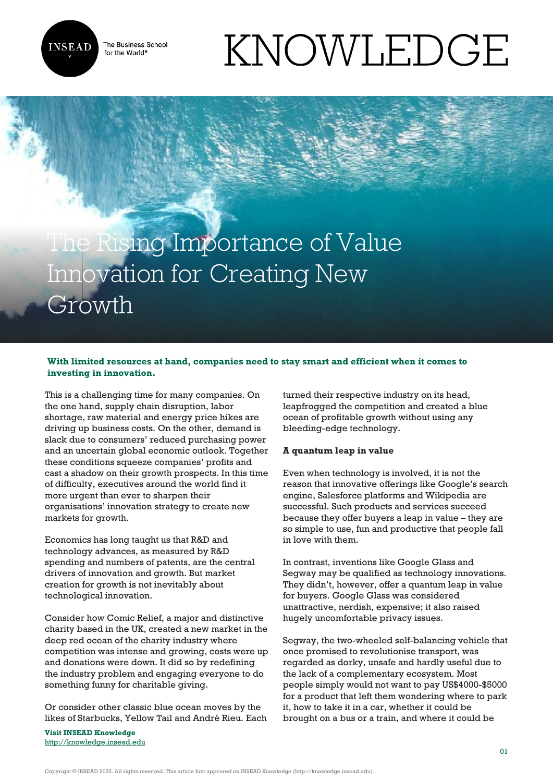

The Business School for the World<sup>®</sup>

# KNOWLEDGE

# The Rising Importance of Value Innovation for Creating New Growth

# **With limited resources at hand, companies need to stay smart and efficient when it comes to investing in innovation.**

This is a challenging time for many companies. On the one hand, supply chain disruption, labor shortage, raw material and energy price hikes are driving up business costs. On the other, demand is slack due to consumers' reduced purchasing power and an uncertain global economic outlook. Together these conditions squeeze companies' profits and cast a shadow on their growth prospects. In this time of difficulty, executives around the world find it more urgent than ever to sharpen their organisations' innovation strategy to create new markets for growth.

Economics has long taught us that R&D and technology advances, as measured by R&D spending and numbers of patents, are the central drivers of innovation and growth. But market creation for growth is not inevitably about technological innovation.

Consider how Comic Relief, a major and distinctive charity based in the UK, created a new market in the deep red ocean of the charity industry where competition was intense and growing, costs were up and donations were down. It did so by redefining the industry problem and engaging everyone to do something funny for charitable giving.

Or consider other classic blue ocean moves by the likes of Starbucks, Yellow Tail and André Rieu. Each

**Visit INSEAD Knowledge** <http://knowledge.insead.edu>

turned their respective industry on its head, leapfrogged the competition and created a blue ocean of profitable growth without using any bleeding-edge technology.

# **A quantum leap in value**

Even when technology is involved, it is not the reason that innovative offerings like Google's search engine, Salesforce platforms and Wikipedia are successful. Such products and services succeed because they offer buyers a leap in value – they are so simple to use, fun and productive that people fall in love with them.

In contrast, inventions like Google Glass and Segway may be qualified as technology innovations. They didn't, however, offer a quantum leap in value for buyers. Google Glass was considered unattractive, nerdish, expensive; it also raised hugely uncomfortable privacy issues.

Segway, the two-wheeled self-balancing vehicle that once promised to revolutionise transport, was regarded as dorky, unsafe and hardly useful due to the lack of a complementary ecosystem. Most people simply would not want to pay US\$4000-\$5000 for a product that left them wondering where to park it, how to take it in a car, whether it could be brought on a bus or a train, and where it could be

Copyright © INSEAD 2022. All rights reserved. This article first appeared on INSEAD Knowledge (http://knowledge.insead.edu).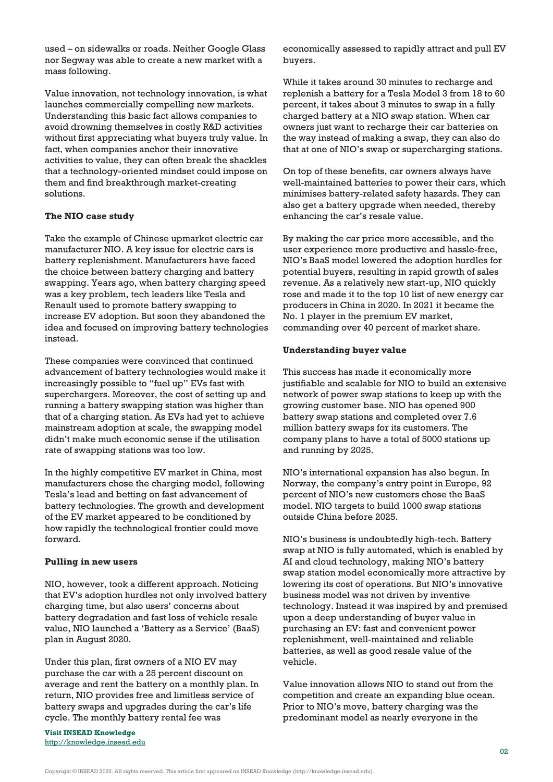used – on sidewalks or roads. Neither Google Glass nor Segway was able to create a new market with a mass following.

Value innovation, not technology innovation, is what launches commercially compelling new markets. Understanding this basic fact allows companies to avoid drowning themselves in costly R&D activities without first appreciating what buyers truly value. In fact, when companies anchor their innovative activities to value, they can often break the shackles that a technology-oriented mindset could impose on them and find breakthrough market-creating solutions.

#### **The NIO case study**

Take the example of Chinese upmarket electric car manufacturer NIO. A key issue for electric cars is battery replenishment. Manufacturers have faced the choice between battery charging and battery swapping. Years ago, when battery charging speed was a key problem, tech leaders like Tesla and Renault used to promote battery swapping to increase EV adoption. But soon they abandoned the idea and focused on improving battery technologies instead.

These companies were convinced that continued advancement of battery technologies would make it increasingly possible to "fuel up" EVs fast with superchargers. Moreover, the cost of setting up and running a battery swapping station was higher than that of a charging station. As EVs had yet to achieve mainstream adoption at scale, the swapping model didn't make much economic sense if the utilisation rate of swapping stations was too low.

In the highly competitive EV market in China, most manufacturers chose the charging model, following Tesla's lead and betting on fast advancement of battery technologies. The growth and development of the EV market appeared to be conditioned by how rapidly the technological frontier could move forward.

## **Pulling in new users**

NIO, however, took a different approach. Noticing that EV's adoption hurdles not only involved battery charging time, but also users' concerns about battery degradation and fast loss of vehicle resale value, NIO launched a 'Battery as a Service' (BaaS) plan in August 2020.

Under this plan, first owners of a NIO EV may purchase the car with a 25 percent discount on average and rent the battery on a monthly plan. In return, NIO provides free and limitless service of battery swaps and upgrades during the car's life cycle. The monthly battery rental fee was

**Visit INSEAD Knowledge** <http://knowledge.insead.edu>

economically assessed to rapidly attract and pull EV buyers.

While it takes around 30 minutes to recharge and replenish a battery for a Tesla Model 3 from 18 to 60 percent, it takes about 3 minutes to swap in a fully charged battery at a NIO swap station. When car owners just want to recharge their car batteries on the way instead of making a swap, they can also do that at one of NIO's swap or supercharging stations.

On top of these benefits, car owners always have well-maintained batteries to power their cars, which minimises battery-related safety hazards. They can also get a battery upgrade when needed, thereby enhancing the car's resale value.

By making the car price more accessible, and the user experience more productive and hassle-free, NIO's BaaS model lowered the adoption hurdles for potential buyers, resulting in rapid growth of sales revenue. As a relatively new start-up, NIO quickly rose and made it to the top 10 list of new energy car producers in China in 2020. In 2021 it became the No. 1 player in the premium EV market, commanding over 40 percent of market share.

#### **Understanding buyer value**

This success has made it economically more justifiable and scalable for NIO to build an extensive network of power swap stations to keep up with the growing customer base. NIO has opened 900 battery swap stations and completed over 7.6 million battery swaps for its customers. The company plans to have a total of 5000 stations up and running by 2025.

NIO's international expansion has also begun. In Norway, the company's entry point in Europe, 92 percent of NIO's new customers chose the BaaS model. NIO targets to build 1000 swap stations outside China before 2025.

NIO's business is undoubtedly high-tech. Battery swap at NIO is fully automated, which is enabled by AI and cloud technology, making NIO's battery swap station model economically more attractive by lowering its cost of operations. But NIO's innovative business model was not driven by inventive technology. Instead it was inspired by and premised upon a deep understanding of buyer value in purchasing an EV: fast and convenient power replenishment, well-maintained and reliable batteries, as well as good resale value of the vehicle.

Value innovation allows NIO to stand out from the competition and create an expanding blue ocean. Prior to NIO's move, battery charging was the predominant model as nearly everyone in the

Copyright © INSEAD 2022. All rights reserved. This article first appeared on INSEAD Knowledge (http://knowledge.insead.edu).